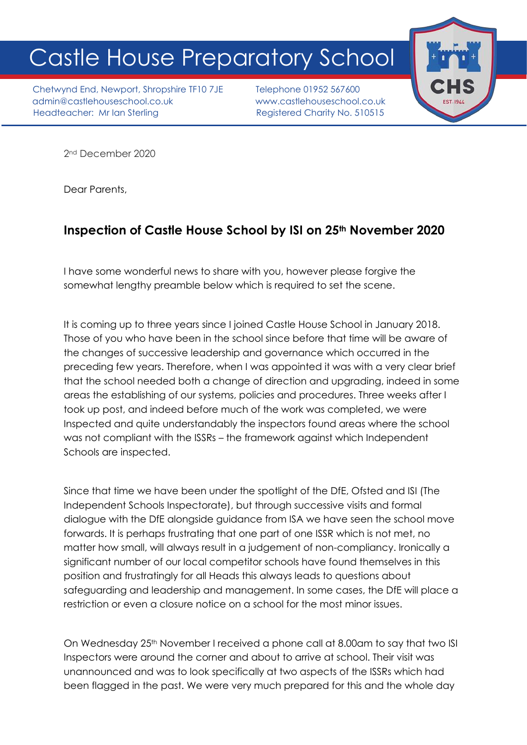## Castle House Preparatory School

Chetwynd End, Newport, Shropshire TF10 7JE Telephone 01952 567600 admin@castlehouseschool.co.uk www.castlehouseschool.co.uk Headteacher: Mr Ian Sterling Theory Registered Charity No. 510515



2nd December 2020

Dear Parents,

## **Inspection of Castle House School by ISI on 25th November 2020**

I have some wonderful news to share with you, however please forgive the somewhat lengthy preamble below which is required to set the scene.

It is coming up to three years since I joined Castle House School in January 2018. Those of you who have been in the school since before that time will be aware of the changes of successive leadership and governance which occurred in the preceding few years. Therefore, when I was appointed it was with a very clear brief that the school needed both a change of direction and upgrading, indeed in some areas the establishing of our systems, policies and procedures. Three weeks after I took up post, and indeed before much of the work was completed, we were Inspected and quite understandably the inspectors found areas where the school was not compliant with the ISSRs – the framework against which Independent Schools are inspected.

Since that time we have been under the spotlight of the DfE, Ofsted and ISI (The Independent Schools Inspectorate), but through successive visits and formal dialogue with the DfE alongside guidance from ISA we have seen the school move forwards. It is perhaps frustrating that one part of one ISSR which is not met, no matter how small, will always result in a judgement of non-compliancy. Ironically a significant number of our local competitor schools have found themselves in this position and frustratingly for all Heads this always leads to questions about safeguarding and leadership and management. In some cases, the DfE will place a restriction or even a closure notice on a school for the most minor issues.

On Wednesday 25<sup>th</sup> November I received a phone call at 8.00am to say that two ISI Inspectors were around the corner and about to arrive at school. Their visit was unannounced and was to look specifically at two aspects of the ISSRs which had been flagged in the past. We were very much prepared for this and the whole day